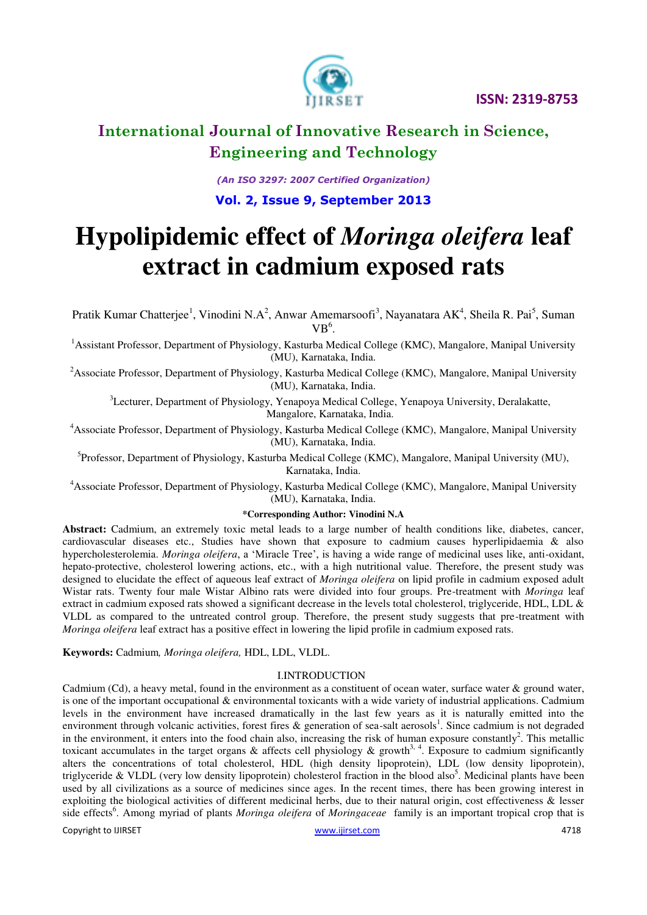

## **International Journal of Innovative Research in Science, Engineering and Technology**

*(An ISO 3297: 2007 Certified Organization)*  **Vol. 2, Issue 9, September 2013**

# **Hypolipidemic effect of** *Moringa oleifera* **leaf extract in cadmium exposed rats**

Pratik Kumar Chatterjee<sup>1</sup>, Vinodini N.A<sup>2</sup>, Anwar Amemarsoofi<sup>3</sup>, Nayanatara AK<sup>4</sup>, Sheila R. Pai<sup>5</sup>, Suman  $VB<sup>6</sup>$ .

<sup>1</sup>Assistant Professor, Department of Physiology, Kasturba Medical College (KMC), Mangalore, Manipal University (MU), Karnataka, India.

<sup>2</sup> Associate Professor, Department of Physiology, Kasturba Medical College (KMC), Mangalore, Manipal University (MU), Karnataka, India.

<sup>3</sup>Lecturer, Department of Physiology, Yenapoya Medical College, Yenapoya University, Deralakatte, Mangalore, Karnataka, India.

<sup>4</sup> Associate Professor, Department of Physiology, Kasturba Medical College (KMC), Mangalore, Manipal University (MU), Karnataka, India.

<sup>5</sup>Professor, Department of Physiology, Kasturba Medical College (KMC), Mangalore, Manipal University (MU), Karnataka, India.

<sup>4</sup>Associate Professor, Department of Physiology, Kasturba Medical College (KMC), Mangalore, Manipal University (MU), Karnataka, India.

#### **\*Corresponding Author: Vinodini N.A**

**Abstract:** Cadmium, an extremely toxic metal leads to a large number of health conditions like, diabetes, cancer, cardiovascular diseases etc., Studies have shown that exposure to cadmium causes hyperlipidaemia & also hypercholesterolemia. *Moringa oleifera*, a 'Miracle Tree', is having a wide range of medicinal uses like, anti-oxidant, hepato-protective, cholesterol lowering actions, etc., with a high nutritional value. Therefore, the present study was designed to elucidate the effect of aqueous leaf extract of *Moringa oleifera* on lipid profile in cadmium exposed adult Wistar rats. Twenty four male Wistar Albino rats were divided into four groups. Pre-treatment with *Moringa* leaf extract in cadmium exposed rats showed a significant decrease in the levels total cholesterol, triglyceride, HDL, LDL & VLDL as compared to the untreated control group. Therefore, the present study suggests that pre-treatment with *Moringa oleifera* leaf extract has a positive effect in lowering the lipid profile in cadmium exposed rats.

**Keywords:** Cadmium*, Moringa oleifera,* HDL, LDL, VLDL.

#### I.INTRODUCTION

Cadmium (Cd), a heavy metal, found in the environment as a constituent of ocean water, surface water & ground water, is one of the important occupational & environmental toxicants with a wide variety of industrial applications. Cadmium levels in the environment have increased dramatically in the last few years as it is naturally emitted into the environment through volcanic activities, forest fires  $\&$  generation of sea-salt aerosols<sup>1</sup>. Since cadmium is not degraded in the environment, it enters into the food chain also, increasing the risk of human exposure constantly<sup>2</sup>. This metallic toxicant accumulates in the target organs & affects cell physiology & growth<sup>3, 4</sup>. Exposure to cadmium significantly alters the concentrations of total cholesterol, HDL (high density lipoprotein), LDL (low density lipoprotein), triglyceride & VLDL (very low density lipoprotein) cholesterol fraction in the blood also<sup>5</sup>. Medicinal plants have been used by all civilizations as a source of medicines since ages. In the recent times, there has been growing interest in exploiting the biological activities of different medicinal herbs, due to their natural origin, cost effectiveness & lesser side effects<sup>6</sup>. Among myriad of plants *Moringa oleifera* of *Moringaceae* family is an important tropical crop that is

Copyright to IJIRSET www.ijirset.com 4718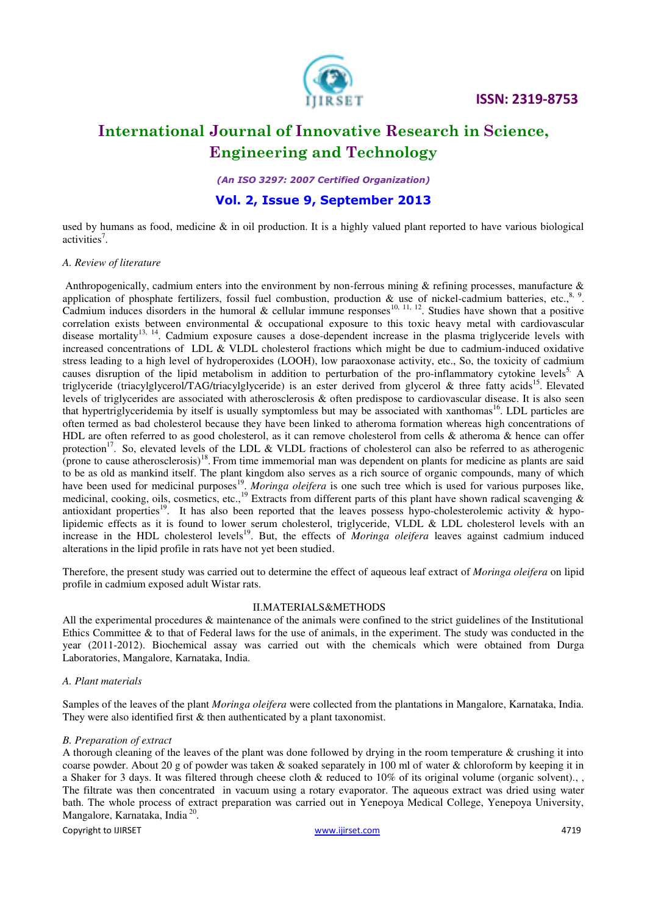

## **International Journal of Innovative Research in Science, Engineering and Technology**

*(An ISO 3297: 2007 Certified Organization)* 

### **Vol. 2, Issue 9, September 2013**

used by humans as food, medicine  $\&$  in oil production. It is a highly valued plant reported to have various biological activities<sup>7</sup>.

#### *A. Review of literature*

Anthropogenically, cadmium enters into the environment by non-ferrous mining  $\&$  refining processes, manufacture  $\&$ application of phosphate fertilizers, fossil fuel combustion, production  $\&$  use of nickel-cadmium batteries, etc.,  $8, 9$ . Cadmium induces disorders in the humoral & cellular immune responses<sup>10, 11, 12</sup>. Studies have shown that a positive correlation exists between environmental & occupational exposure to this toxic heavy metal with cardiovascular disease mortality<sup>13, 14</sup>. Cadmium exposure causes a dose-dependent increase in the plasma triglyceride levels with increased concentrations of LDL & VLDL cholesterol fractions which might be due to cadmium-induced oxidative stress leading to a high level of hydroperoxides (LOOH), low paraoxonase activity, etc., So, the toxicity of cadmium causes disruption of the lipid metabolism in addition to perturbation of the pro-inflammatory cytokine levels<sup>5.</sup> A triglyceride (triacylglycerol/TAG/triacylglyceride) is an [ester](http://en.wikipedia.org/wiki/Ester) derived from [glycerol](http://en.wikipedia.org/wiki/Glycerol) & three [fatty acids](http://en.wikipedia.org/wiki/Fatty_acids)<sup>15</sup>. Elevated levels of triglycerides are associated with [atherosclerosis](http://en.wikipedia.org/wiki/Atherosclerosis) & often predispose to [cardiovascular disease.](http://en.wikipedia.org/wiki/Cardiovascular_disease) It is also seen that hypertriglyceridemia by itself is usually symptomless but may be associated with [xanthomas](http://en.wikipedia.org/wiki/Xanthoma)<sup>16</sup>. LDL particles are often termed as bad cholesterol because they have been linked to atheroma formation whereas high concentrations of HDL are often referred to as good cholesterol, as it can remove cholesterol from cells & atheroma & hence can offer protection<sup>17</sup>. So, elevated levels of the LDL & VLDL fractions of cholesterol can also be referred to as atherogenic (prone to cause atherosclerosis)<sup>18</sup>. From time immemorial man was dependent on plants for medicine as plants are said to be as old as mankind itself. The plant kingdom also serves as a rich source of organic compounds, many of which have been used for medicinal purposes<sup>19</sup>. *Moringa oleifera* is one such tree which is used for various purposes like, medicinal, cooking, oils, cosmetics, etc.,<sup>19</sup> Extracts from different parts of this plant have shown radical scavenging  $\&$ antioxidant properties<sup>19</sup>. It has also been reported that the leaves possess hypo-cholesterolemic activity & hypolipidemic effects as it is found to lower serum cholesterol, triglyceride, VLDL & LDL cholesterol levels with an increase in the HDL cholesterol levels<sup>19</sup>. But, the effects of *Moringa oleifera* leaves against cadmium induced alterations in the lipid profile in rats have not yet been studied.

Therefore, the present study was carried out to determine the effect of aqueous leaf extract of *Moringa oleifera* on lipid profile in cadmium exposed adult Wistar rats.

#### II.MATERIALS&METHODS

All the experimental procedures & maintenance of the animals were confined to the strict guidelines of the Institutional Ethics Committee  $\&$  to that of Federal laws for the use of animals, in the experiment. The study was conducted in the year (2011-2012). Biochemical assay was carried out with the chemicals which were obtained from Durga Laboratories, Mangalore, Karnataka, India.

#### *A. Plant materials*

Samples of the leaves of the plant *Moringa oleifera* were collected from the plantations in Mangalore, Karnataka, India. They were also identified first & then authenticated by a plant taxonomist.

#### *B. Preparation of extract*

A thorough cleaning of the leaves of the plant was done followed by drying in the room temperature & crushing it into coarse powder. About 20 g of powder was taken & soaked separately in 100 ml of water & chloroform by keeping it in a Shaker for 3 days. It was filtered through cheese cloth & reduced to  $10\%$  of its original volume (organic solvent). The filtrate was then concentrated in vacuum using a rotary evaporator. The aqueous extract was dried using water bath. The whole process of extract preparation was carried out in Yenepoya Medical College, Yenepoya University, Mangalore, Karnataka, India<sup>20</sup>.

Copyright to IJIRSET www.ijirset.com 4719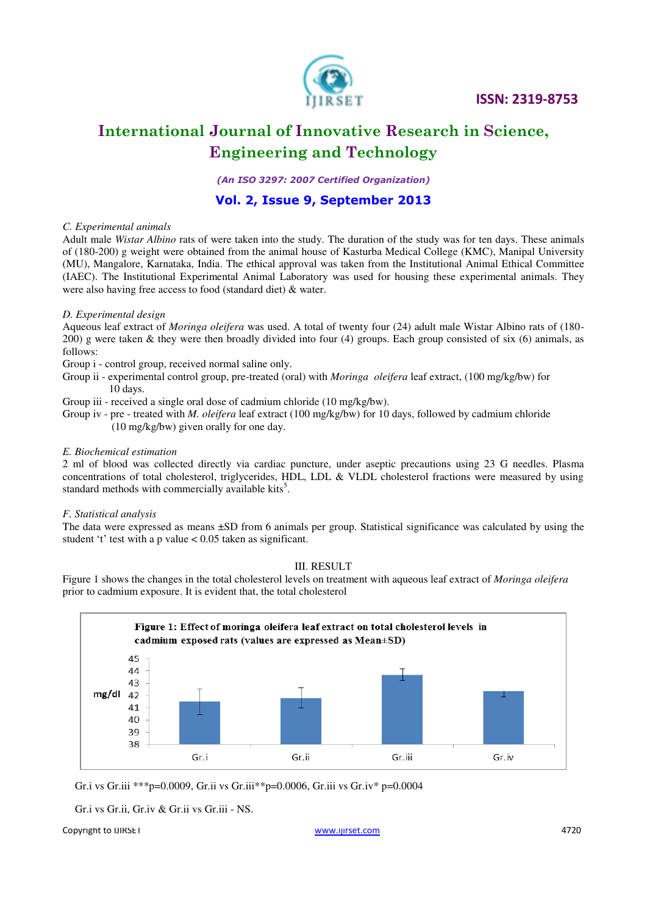

## **International Journal of Innovative Research in Science, Engineering and Technology**

*(An ISO 3297: 2007 Certified Organization)* 

## **Vol. 2, Issue 9, September 2013**

#### *C. Experimental animals*

Adult male *Wistar Albino* rats of were taken into the study. The duration of the study was for ten days. These animals of (180-200) g weight were obtained from the animal house of Kasturba Medical College (KMC), Manipal University (MU), Mangalore, Karnataka, India. The ethical approval was taken from the Institutional Animal Ethical Committee (IAEC). The Institutional Experimental Animal Laboratory was used for housing these experimental animals. They were also having free access to food (standard diet) & water.

#### *D. Experimental design*

Aqueous leaf extract of *Moringa oleifera* was used. A total of twenty four (24) adult male Wistar Albino rats of (180- 200) g were taken & they were then broadly divided into four (4) groups. Each group consisted of six (6) animals, as follows:

Group i - control group, received normal saline only.

- Group ii experimental control group, pre-treated (oral) with *Moringa oleifera* leaf extract, (100 mg/kg/bw) for 10 days.
- Group iii received a single oral dose of cadmium chloride (10 mg/kg/bw).
- Group iv pre treated with *M. oleifera* leaf extract (100 mg/kg/bw) for 10 days, followed by cadmium chloride (10 mg/kg/bw) given orally for one day.

#### *E. Biochemical estimation*

2 ml of blood was collected directly via cardiac puncture, under aseptic precautions using 23 G needles. Plasma concentrations of total cholesterol, triglycerides, HDL, LDL & VLDL cholesterol fractions were measured by using standard methods with commercially available kits<sup>5</sup>.

#### *F. Statistical analysis*

The data were expressed as means ±SD from 6 animals per group. Statistical significance was calculated by using the student 't' test with a p value < 0.05 taken as significant.

#### III. RESULT

Figure 1 shows the changes in the total cholesterol levels on treatment with aqueous leaf extract of *Moringa oleifera*  prior to cadmium exposure. It is evident that, the total cholesterol



Gr.i vs Gr.iii \*\*\*p=0.0009, Gr.ii vs Gr.iii\*\*p=0.0006, Gr.iii vs Gr.iv\* p=0.0004

Gr.i vs Gr.ii, Gr.iv & Gr.ii vs Gr.iii - NS.

#### Copyright to IJIRSET www.ijirset.com 4720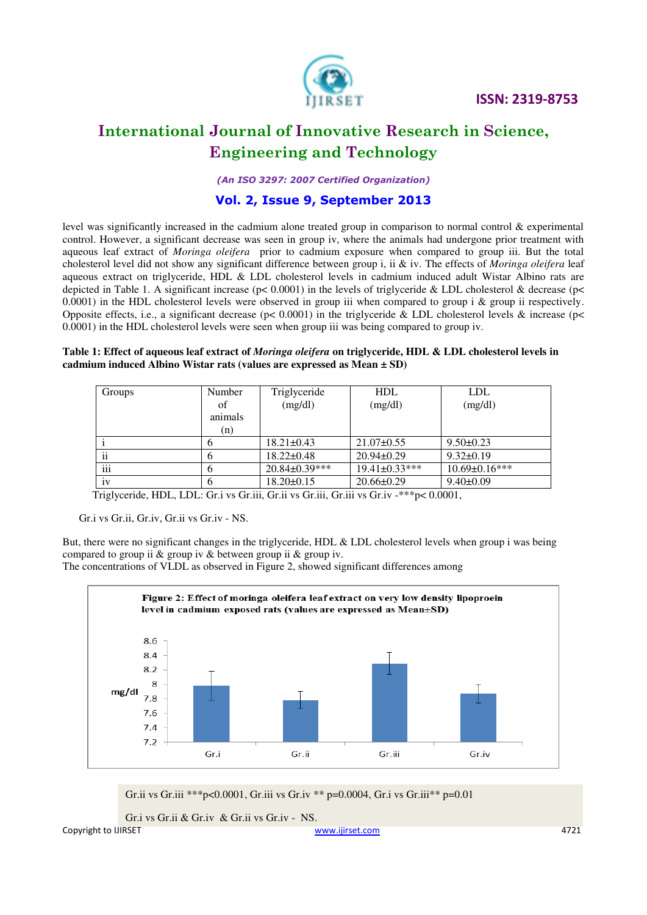

## **International Journal of Innovative Research in Science, Engineering and Technology**

*(An ISO 3297: 2007 Certified Organization)* 

## **Vol. 2, Issue 9, September 2013**

level was significantly increased in the cadmium alone treated group in comparison to normal control & experimental control. However, a significant decrease was seen in group iv, where the animals had undergone prior treatment with aqueous leaf extract of *Moringa oleifera* prior to cadmium exposure when compared to group iii. But the total cholesterol level did not show any significant difference between group i, ii & iv. The effects of *Moringa oleifera* leaf aqueous extract on triglyceride, HDL & LDL cholesterol levels in cadmium induced adult Wistar Albino rats are depicted in Table 1. A significant increase ( $p$ < 0.0001) in the levels of triglyceride & LDL cholesterol & decrease ( $p$ < 0.0001) in the HDL cholesterol levels were observed in group iii when compared to group i  $\&$  group ii respectively. Opposite effects, i.e., a significant decrease ( $p$ < 0.0001) in the triglyceride & LDL cholesterol levels & increase ( $p$ < 0.0001) in the HDL cholesterol levels were seen when group iii was being compared to group iv.

#### **Table 1: Effect of aqueous leaf extract of** *Moringa oleifera* **on triglyceride, HDL & LDL cholesterol levels in cadmium induced Albino Wistar rats (values are expressed as Mean ± SD)**

| Groups | Number  | Triglyceride         | <b>HDL</b>           | <b>LDL</b>           |
|--------|---------|----------------------|----------------------|----------------------|
|        | of      | (mg/dl)              | (mg/dl)              | (mg/dl)              |
|        | animals |                      |                      |                      |
|        | (n)     |                      |                      |                      |
|        |         | $18.21 \pm 0.43$     | $21.07 \pm 0.55$     | $9.50 \pm 0.23$      |
| ii     |         | $18.22 \pm 0.48$     | $20.94 \pm 0.29$     | $9.32 \pm 0.19$      |
| iii    | b       | $20.84 \pm 0.39$ *** | $19.41 \pm 0.33$ *** | $10.69 \pm 0.16$ *** |
| 1V     |         | $18.20 \pm 0.15$     | $20.66 \pm 0.29$     | $9.40 \pm 0.09$      |

Triglyceride, HDL, LDL: Gr.i vs Gr.iii, Gr.ii vs Gr.iii, Gr.iii vs Gr.iv -\*\*\*p< 0.0001,

Gr.i vs Gr.ii, Gr.iv, Gr.ii vs Gr.iv - NS.

But, there were no significant changes in the triglyceride, HDL & LDL cholesterol levels when group i was being compared to group ii & group iv & between group ii & group iv.

The concentrations of VLDL as observed in Figure 2, showed significant differences among



Gr.ii vs Gr.iii \*\*\*p<0.0001, Gr.iii vs Gr.iv \*\* p=0.0004, Gr.i vs Gr.iii\*\* p=0.01

Copyright to IJIRSET www.ijirset.com 4721 Gr.i vs Gr.ii & Gr.iv & Gr.ii vs Gr.iv - NS.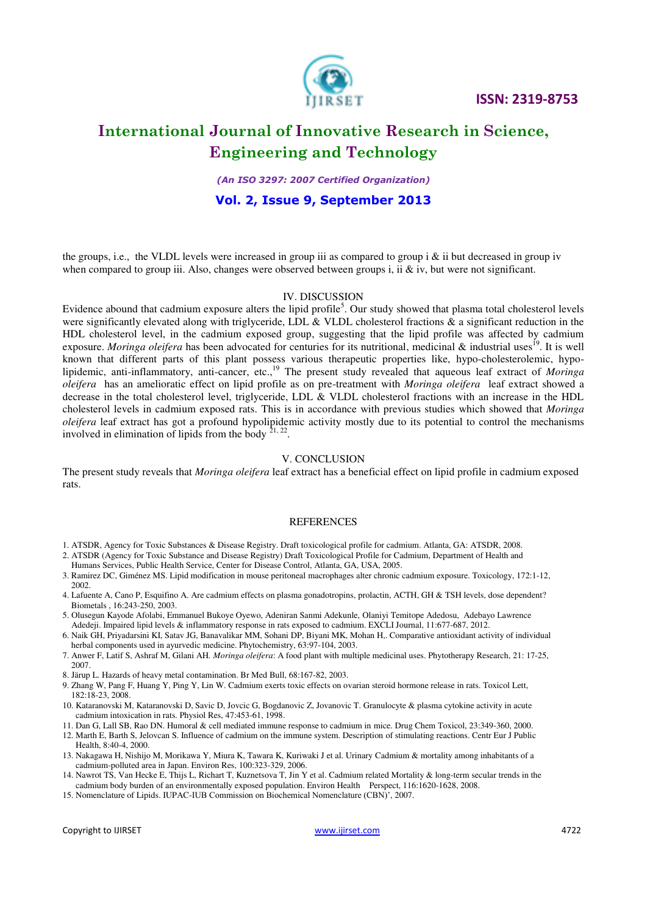

## **International Journal of Innovative Research in Science, Engineering and Technology**

*(An ISO 3297: 2007 Certified Organization)* 

### **Vol. 2, Issue 9, September 2013**

the groups, i.e., the VLDL levels were increased in group iii as compared to group i  $\&$  ii but decreased in group iv when compared to group iii. Also, changes were observed between groups i, ii & iv, but were not significant.

#### IV. DISCUSSION

Evidence abound that cadmium exposure alters the lipid profile<sup>5</sup>. Our study showed that plasma total cholesterol levels were significantly elevated along with triglyceride, LDL & VLDL cholesterol fractions  $\&$  a significant reduction in the HDL cholesterol level, in the cadmium exposed group, suggesting that the lipid profile was affected by cadmium exposure. *Moringa oleifera* has been advocated for centuries for its nutritional, medicinal & industrial uses<sup>19</sup>. It is well known that different parts of this plant possess various therapeutic properties like, hypo-cholesterolemic, hypolipidemic, anti-inflammatory, anti-cancer, etc.,<sup>19</sup> The present study revealed that aqueous leaf extract of *Moringa oleifera* has an amelioratic effect on lipid profile as on pre-treatment with *Moringa oleifera* leaf extract showed a decrease in the total cholesterol level, triglyceride, LDL & VLDL cholesterol fractions with an increase in the HDL cholesterol levels in cadmium exposed rats. This is in accordance with previous studies which showed that *Moringa oleifera* leaf extract has got a profound hypolipidemic activity mostly due to its potential to control the mechanisms involved in elimination of lipids from the body  $2^{1,22}$ .

#### V. CONCLUSION

The present study reveals that *Moringa oleifera* leaf extract has a beneficial effect on lipid profile in cadmium exposed rats.

#### REFERENCES

- 1. ATSDR, Agency for Toxic Substances & Disease Registry. Draft toxicological profile for cadmium. Atlanta, GA: ATSDR, 2008.
- 2. ATSDR (Agency for Toxic Substance and Disease Registry) Draft Toxicological Profile for Cadmium, Department of Health and
- Humans Services, Public Health Service, Center for Disease Control, Atlanta, GA, USA, 2005.
- 3. Ramirez DC, Giménez MS. Lipid modification in mouse peritoneal macrophages alter chronic cadmium exposure. Toxicology, 172:1-12, 2002.
- 4. Lafuente A, Cano P, Esquifino A. Are cadmium effects on plasma gonadotropins, prolactin, ACTH, GH & TSH levels, dose dependent? Biometals , 16:243-250, 2003.
- 5. Olusegun Kayode Afolabi, Emmanuel Bukoye Oyewo, Adeniran Sanmi Adekunle, Olaniyi Temitope Adedosu, Adebayo Lawrence Adedeji. Impaired lipid levels & inflammatory response in rats exposed to cadmium. EXCLI Journal, 11:677-687, 2012.
- 6. Naik GH, Priyadarsini KI, Satav JG, Banavalikar MM, Sohani DP, Biyani MK, Mohan H,. Comparative antioxidant activity of individual herbal components used in ayurvedic medicine. Phytochemistry, 63:97-104, 2003.
- 7. Anwer F, Latif S, Ashraf M, Gilani AH*. Moringa oleifera*: A food plant with multiple medicinal uses. Phytotherapy Research, 21: 17-25, 2007.
- 8. Järup L. Hazards of heavy metal contamination. Br Med Bull, 68:167-82, 2003.
- 9. Zhang W, Pang F, Huang Y, Ping Y, Lin W. Cadmium exerts toxic effects on ovarian steroid hormone release in rats. Toxicol Lett, 182:18-23, 2008.
- 10. Kataranovski M, Kataranovski D, Savic D, Jovcic G, Bogdanovic Z, Jovanovic T. Granulocyte & plasma cytokine activity in acute cadmium intoxication in rats. Physiol Res, 47:453-61, 1998.
- 11. Dan G, Lall SB, Rao DN. Humoral & cell mediated immune response to cadmium in mice. Drug Chem Toxicol, 23:349-360, 2000.
- 12. Marth E, Barth S, Jelovcan S. Influence of cadmium on the immune system. Description of stimulating reactions. Centr Eur J Public Health, 8:40-4, 2000.
- 13. Nakagawa H, Nishijo M, Morikawa Y, Miura K, Tawara K, Kuriwaki J et al. Urinary Cadmium & mortality among inhabitants of a cadmium-polluted area in Japan. Environ Res, 100:323-329, 2006.
- 14. Nawrot TS, Van Hecke E, Thijs L, Richart T, Kuznetsova T, Jin Y et al. Cadmium related Mortality & long-term secular trends in the cadmium body burden of an environmentally exposed population. Environ Health Perspect, 116:1620-1628, 2008.
- 15[. Nomenclature of Lipids.](http://www.chem.qmul.ac.uk/iupac/lipid/) IUPAC-IUB Commission on Biochemical Nomenclature (CBN)', 2007.